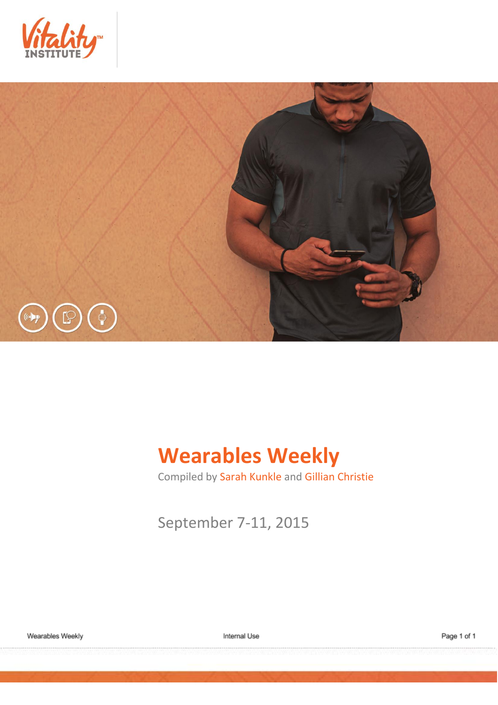



# **Wearables Weekly**

Compiled by Sarah Kunkle and Gillian Christie

September 7-11, 2015

Wearables Weekly

Internal Use

Page 1 of 1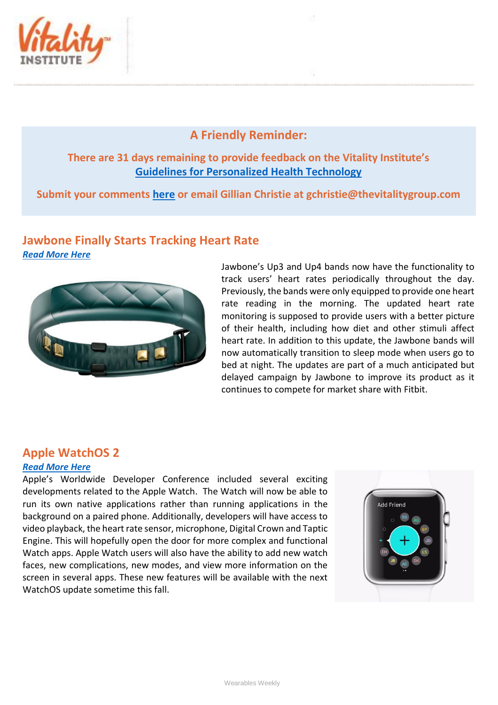![](_page_1_Picture_0.jpeg)

## **A Friendly Reminder:**

#### **There are 31 days remaining to provide feedback on the Vitality Institute's [Guidelines for Personalized Health Technology](http://thevitalityinstitute.org/site/wp-content/uploads/2015/07/Responsibility-Guidelines-for-Personalized-Health-Technology.pdf)**

#### **Submit your comments [here](http://thevitalityinstitute.org/projects/personalized-health-technology/public-consultation/) or email Gillian Christie at [gchristie@thevitalitygroup.com](mailto:gchristie@thevitalitygroup.com?subject=Wearables%20Weekly%20Feedback)**

#### **Jawbone Finally Starts Tracking Heart Rate** *[Read More Here](http://www.theverge.com/2015/9/8/9274851/jawbone-finally-starts-tracking-heart-rate-on-its-heart-rate-activity)*

![](_page_1_Picture_5.jpeg)

Jawbone's Up3 and Up4 bands now have the functionality to track users' heart rates periodically throughout the day. Previously, the bands were only equipped to provide one heart rate reading in the morning. The updated heart rate monitoring is supposed to provide users with a better picture of their health, including how diet and other stimuli affect heart rate. In addition to this update, the Jawbone bands will now automatically transition to sleep mode when users go to bed at night. The updates are part of a much anticipated but delayed campaign by Jawbone to improve its product as it continues to compete for market share with Fitbit.

#### **Apple WatchOS 2** *[Read More Here](https://wtvox.com/wearables/apple-watchos-2-native-apps/)*

Apple's Worldwide Developer Conference included several exciting developments related to the Apple Watch. The Watch will now be able to run its own native applications rather than running applications in the background on a paired phone. Additionally, developers will have access to video playback, the heart rate sensor, microphone, Digital Crown and Taptic Engine. This will hopefully open the door for more complex and functional Watch apps. Apple Watch users will also have the ability to add new watch faces, new complications, new modes, and view more information on the screen in several apps. These new features will be available with the next WatchOS update sometime this fall.

![](_page_1_Picture_9.jpeg)